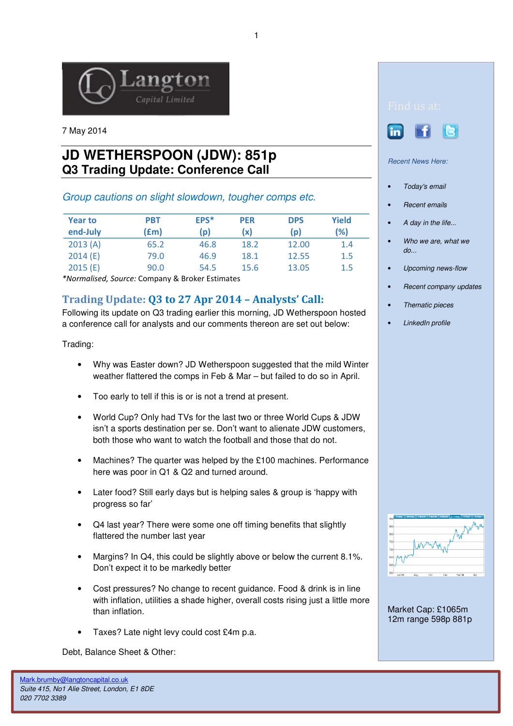

7 May 2014

## **JD WETHERSPOON (JDW): 851p Q3 Trading Update: Conference Call**

## Group cautions on slight slowdown, tougher comps etc.

| <b>Year to</b><br>end-July | <b>PBT</b><br>f(m) | EPS*<br>(p) | <b>PER</b><br>(x) | <b>DPS</b><br>(p) | <b>Yield</b><br>(%) |
|----------------------------|--------------------|-------------|-------------------|-------------------|---------------------|
| 2013(A)                    | 65.2               | 46.8        | 18.2              | 12.00             | 1.4                 |
| 2014(E)                    | 79.0               | 46.9        | 18.1              | 12.55             | 1.5                 |
| 2015(E)                    | 90.0               | 54.5        | 15.6              | 13.05             | 1.5                 |

\*Normalised, Source: Company & Broker Estimates

## Trading Update: Q3 to 27 Apr 2014 – Analysts' Call:

Following its update on Q3 trading earlier this morning, JD Wetherspoon hosted a conference call for analysts and our comments thereon are set out below:

Trading:

- Why was Easter down? JD Wetherspoon suggested that the mild Winter weather flattered the comps in Feb & Mar – but failed to do so in April.
- Too early to tell if this is or is not a trend at present.
- World Cup? Only had TVs for the last two or three World Cups & JDW isn't a sports destination per se. Don't want to alienate JDW customers, both those who want to watch the football and those that do not.
- Machines? The quarter was helped by the £100 machines. Performance here was poor in Q1 & Q2 and turned around.
- Later food? Still early days but is helping sales & group is 'happy with progress so far'
- Q4 last year? There were some one off timing benefits that slightly flattered the number last year
- Margins? In Q4, this could be slightly above or below the current 8.1%. Don't expect it to be markedly better
- Cost pressures? No change to recent guidance. Food & drink is in line with inflation, utilities a shade higher, overall costs rising just a little more than inflation.
- Taxes? Late night levy could cost £4m p.a.

Debt, Balance Sheet & Other:



Recent News Here:

- Today's email
- **Recent emails**
- A day in the life...
- Who we are, what we  $d\rho$ ...
- Upcoming news-flow
- Recent company updates
- Thematic pieces
- LinkedIn profile

| 900 | Today  | Weekly | 1 Month | 3 Month | <b>6 Month</b> | v 1 Year | 3 Year | <b>SYear</b> |
|-----|--------|--------|---------|---------|----------------|----------|--------|--------------|
| 850 |        |        |         |         |                |          |        |              |
| 800 |        |        |         |         |                |          |        |              |
| 750 |        |        |         |         |                |          |        |              |
| 700 |        |        |         |         |                |          |        |              |
| 650 |        |        |         |         |                |          |        |              |
| 600 |        |        |         |         |                |          |        |              |
| 550 | Jun 13 | Aug    |         | ou      | Dec            | Feb 14   |        | Apr          |
|     |        |        |         |         |                |          |        |              |

Market Cap: £1065m 12m range 598p 881p